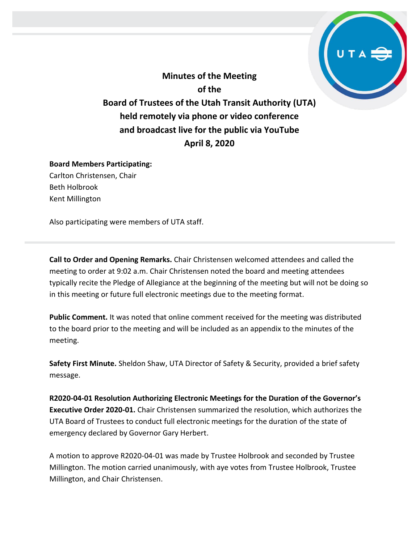**Minutes of the Meeting of the Board of Trustees of the Utah Transit Authority (UTA) held remotely via phone or video conference and broadcast live for the public via YouTube April 8, 2020**

#### **Board Members Participating:** Carlton Christensen, Chair

Beth Holbrook Kent Millington

Also participating were members of UTA staff.

**Call to Order and Opening Remarks.** Chair Christensen welcomed attendees and called the meeting to order at 9:02 a.m. Chair Christensen noted the board and meeting attendees typically recite the Pledge of Allegiance at the beginning of the meeting but will not be doing so in this meeting or future full electronic meetings due to the meeting format.

**Public Comment.** It was noted that online comment received for the meeting was distributed to the board prior to the meeting and will be included as an appendix to the minutes of the meeting.

**Safety First Minute.** Sheldon Shaw, UTA Director of Safety & Security, provided a brief safety message.

**R2020-04-01 Resolution Authorizing Electronic Meetings for the Duration of the Governor's Executive Order 2020-01.** Chair Christensen summarized the resolution, which authorizes the UTA Board of Trustees to conduct full electronic meetings for the duration of the state of emergency declared by Governor Gary Herbert.

A motion to approve R2020-04-01 was made by Trustee Holbrook and seconded by Trustee Millington. The motion carried unanimously, with aye votes from Trustee Holbrook, Trustee Millington, and Chair Christensen.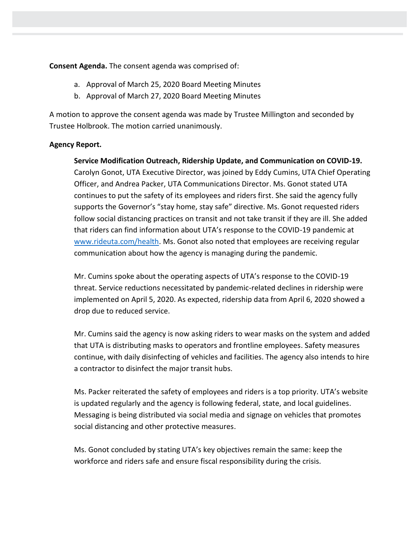**Consent Agenda.** The consent agenda was comprised of:

- a. Approval of March 25, 2020 Board Meeting Minutes
- b. Approval of March 27, 2020 Board Meeting Minutes

A motion to approve the consent agenda was made by Trustee Millington and seconded by Trustee Holbrook. The motion carried unanimously.

# **Agency Report.**

**Service Modification Outreach, Ridership Update, and Communication on COVID-19.**  Carolyn Gonot, UTA Executive Director, was joined by Eddy Cumins, UTA Chief Operating Officer, and Andrea Packer, UTA Communications Director. Ms. Gonot stated UTA continues to put the safety of its employees and riders first. She said the agency fully supports the Governor's "stay home, stay safe" directive. Ms. Gonot requested riders follow social distancing practices on transit and not take transit if they are ill. She added that riders can find information about UTA's response to the COVID-19 pandemic at [www.rideuta.com/health.](http://www.rideuta.com/health) Ms. Gonot also noted that employees are receiving regular communication about how the agency is managing during the pandemic.

Mr. Cumins spoke about the operating aspects of UTA's response to the COVID-19 threat. Service reductions necessitated by pandemic-related declines in ridership were implemented on April 5, 2020. As expected, ridership data from April 6, 2020 showed a drop due to reduced service.

Mr. Cumins said the agency is now asking riders to wear masks on the system and added that UTA is distributing masks to operators and frontline employees. Safety measures continue, with daily disinfecting of vehicles and facilities. The agency also intends to hire a contractor to disinfect the major transit hubs.

Ms. Packer reiterated the safety of employees and riders is a top priority. UTA's website is updated regularly and the agency is following federal, state, and local guidelines. Messaging is being distributed via social media and signage on vehicles that promotes social distancing and other protective measures.

Ms. Gonot concluded by stating UTA's key objectives remain the same: keep the workforce and riders safe and ensure fiscal responsibility during the crisis.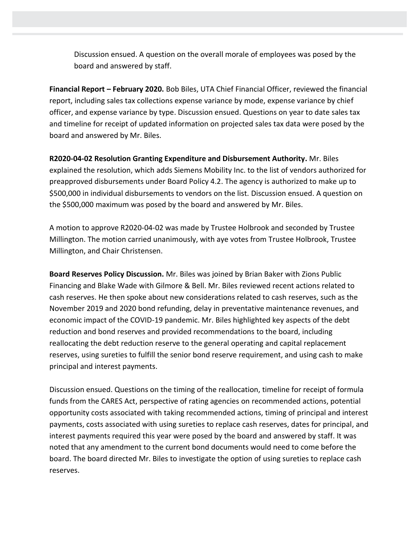Discussion ensued. A question on the overall morale of employees was posed by the board and answered by staff.

**Financial Report – February 2020.** Bob Biles, UTA Chief Financial Officer, reviewed the financial report, including sales tax collections expense variance by mode, expense variance by chief officer, and expense variance by type. Discussion ensued. Questions on year to date sales tax and timeline for receipt of updated information on projected sales tax data were posed by the board and answered by Mr. Biles.

**R2020-04-02 Resolution Granting Expenditure and Disbursement Authority.** Mr. Biles explained the resolution, which adds Siemens Mobility Inc. to the list of vendors authorized for preapproved disbursements under Board Policy 4.2. The agency is authorized to make up to \$500,000 in individual disbursements to vendors on the list. Discussion ensued. A question on the \$500,000 maximum was posed by the board and answered by Mr. Biles.

A motion to approve R2020-04-02 was made by Trustee Holbrook and seconded by Trustee Millington. The motion carried unanimously, with aye votes from Trustee Holbrook, Trustee Millington, and Chair Christensen.

**Board Reserves Policy Discussion.** Mr. Biles was joined by Brian Baker with Zions Public Financing and Blake Wade with Gilmore & Bell. Mr. Biles reviewed recent actions related to cash reserves. He then spoke about new considerations related to cash reserves, such as the November 2019 and 2020 bond refunding, delay in preventative maintenance revenues, and economic impact of the COVID-19 pandemic. Mr. Biles highlighted key aspects of the debt reduction and bond reserves and provided recommendations to the board, including reallocating the debt reduction reserve to the general operating and capital replacement reserves, using sureties to fulfill the senior bond reserve requirement, and using cash to make principal and interest payments.

Discussion ensued. Questions on the timing of the reallocation, timeline for receipt of formula funds from the CARES Act, perspective of rating agencies on recommended actions, potential opportunity costs associated with taking recommended actions, timing of principal and interest payments, costs associated with using sureties to replace cash reserves, dates for principal, and interest payments required this year were posed by the board and answered by staff. It was noted that any amendment to the current bond documents would need to come before the board. The board directed Mr. Biles to investigate the option of using sureties to replace cash reserves.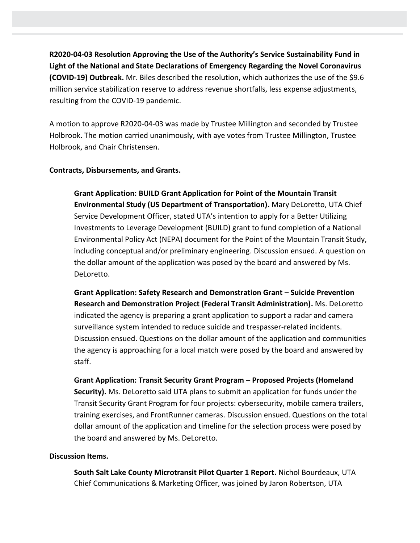**R2020-04-03 Resolution Approving the Use of the Authority's Service Sustainability Fund in Light of the National and State Declarations of Emergency Regarding the Novel Coronavirus (COVID-19) Outbreak.** Mr. Biles described the resolution, which authorizes the use of the \$9.6 million service stabilization reserve to address revenue shortfalls, less expense adjustments, resulting from the COVID-19 pandemic.

A motion to approve R2020-04-03 was made by Trustee Millington and seconded by Trustee Holbrook. The motion carried unanimously, with aye votes from Trustee Millington, Trustee Holbrook, and Chair Christensen.

## **Contracts, Disbursements, and Grants.**

**Grant Application: BUILD Grant Application for Point of the Mountain Transit Environmental Study (US Department of Transportation).** Mary DeLoretto, UTA Chief Service Development Officer, stated UTA's intention to apply for a Better Utilizing Investments to Leverage Development (BUILD) grant to fund completion of a National Environmental Policy Act (NEPA) document for the Point of the Mountain Transit Study, including conceptual and/or preliminary engineering. Discussion ensued. A question on the dollar amount of the application was posed by the board and answered by Ms. DeLoretto.

**Grant Application: Safety Research and Demonstration Grant – Suicide Prevention Research and Demonstration Project (Federal Transit Administration).** Ms. DeLoretto indicated the agency is preparing a grant application to support a radar and camera surveillance system intended to reduce suicide and trespasser-related incidents. Discussion ensued. Questions on the dollar amount of the application and communities the agency is approaching for a local match were posed by the board and answered by staff.

**Grant Application: Transit Security Grant Program – Proposed Projects (Homeland Security).** Ms. DeLoretto said UTA plans to submit an application for funds under the Transit Security Grant Program for four projects: cybersecurity, mobile camera trailers, training exercises, and FrontRunner cameras. Discussion ensued. Questions on the total dollar amount of the application and timeline for the selection process were posed by the board and answered by Ms. DeLoretto.

#### **Discussion Items.**

**South Salt Lake County Microtransit Pilot Quarter 1 Report.** Nichol Bourdeaux, UTA Chief Communications & Marketing Officer, was joined by Jaron Robertson, UTA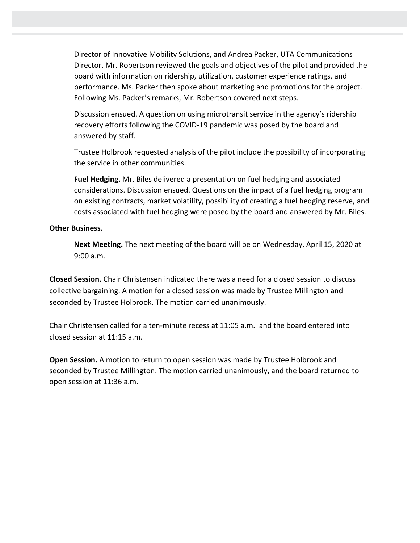Director of Innovative Mobility Solutions, and Andrea Packer, UTA Communications Director. Mr. Robertson reviewed the goals and objectives of the pilot and provided the board with information on ridership, utilization, customer experience ratings, and performance. Ms. Packer then spoke about marketing and promotions for the project. Following Ms. Packer's remarks, Mr. Robertson covered next steps.

Discussion ensued. A question on using microtransit service in the agency's ridership recovery efforts following the COVID-19 pandemic was posed by the board and answered by staff.

Trustee Holbrook requested analysis of the pilot include the possibility of incorporating the service in other communities.

**Fuel Hedging.** Mr. Biles delivered a presentation on fuel hedging and associated considerations. Discussion ensued. Questions on the impact of a fuel hedging program on existing contracts, market volatility, possibility of creating a fuel hedging reserve, and costs associated with fuel hedging were posed by the board and answered by Mr. Biles.

## **Other Business.**

**Next Meeting.** The next meeting of the board will be on Wednesday, April 15, 2020 at 9:00 a.m.

**Closed Session.** Chair Christensen indicated there was a need for a closed session to discuss collective bargaining. A motion for a closed session was made by Trustee Millington and seconded by Trustee Holbrook. The motion carried unanimously.

Chair Christensen called for a ten-minute recess at 11:05 a.m. and the board entered into closed session at 11:15 a.m.

**Open Session.** A motion to return to open session was made by Trustee Holbrook and seconded by Trustee Millington. The motion carried unanimously, and the board returned to open session at 11:36 a.m.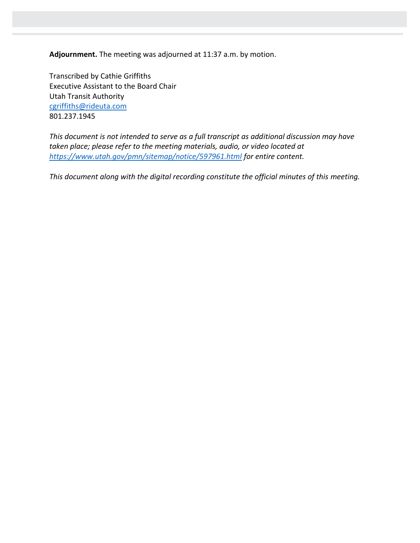**Adjournment.** The meeting was adjourned at 11:37 a.m. by motion.

Transcribed by Cathie Griffiths Executive Assistant to the Board Chair Utah Transit Authority [cgriffiths@rideuta.com](mailto:cgriffiths@rideuta.com) 801.237.1945

*This document is not intended to serve as a full transcript as additional discussion may have taken place; please refer to the meeting materials, audio, or video located at <https://www.utah.gov/pmn/sitemap/notice/597961.html> for entire content.*

*This document along with the digital recording constitute the official minutes of this meeting.*